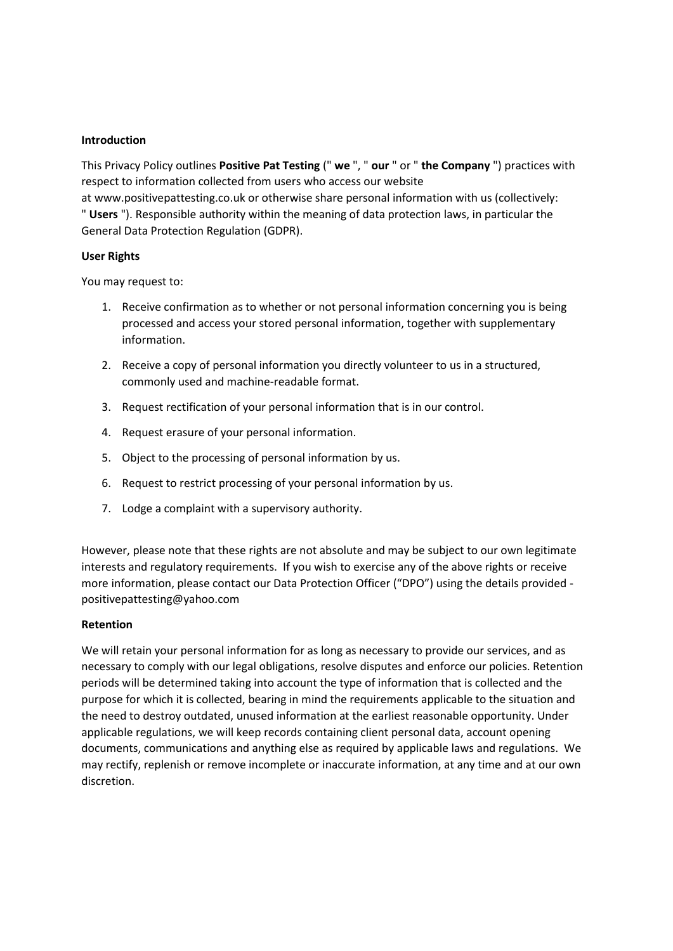## **Introduction**

This Privacy Policy outlines **Positive Pat Testing** (" **we** ", " **our** " or " **the Company** ") practices with respect to information collected from users who access our website

at www.positivepattesting.co.uk or otherwise share personal information with us (collectively: " **Users** "). Responsible authority within the meaning of data protection laws, in particular the General Data Protection Regulation (GDPR).

#### **User Rights**

You may request to:

- 1. Receive confirmation as to whether or not personal information concerning you is being processed and access your stored personal information, together with supplementary information.
- 2. Receive a copy of personal information you directly volunteer to us in a structured, commonly used and machine-readable format.
- 3. Request rectification of your personal information that is in our control.
- 4. Request erasure of your personal information.
- 5. Object to the processing of personal information by us.
- 6. Request to restrict processing of your personal information by us.
- 7. Lodge a complaint with a supervisory authority.

However, please note that these rights are not absolute and may be subject to our own legitimate interests and regulatory requirements. If you wish to exercise any of the above rights or receive more information, please contact our Data Protection Officer ("DPO") using the details provided positivepattesting@yahoo.com

## **Retention**

We will retain your personal information for as long as necessary to provide our services, and as necessary to comply with our legal obligations, resolve disputes and enforce our policies. Retention periods will be determined taking into account the type of information that is collected and the purpose for which it is collected, bearing in mind the requirements applicable to the situation and the need to destroy outdated, unused information at the earliest reasonable opportunity. Under applicable regulations, we will keep records containing client personal data, account opening documents, communications and anything else as required by applicable laws and regulations. We may rectify, replenish or remove incomplete or inaccurate information, at any time and at our own discretion.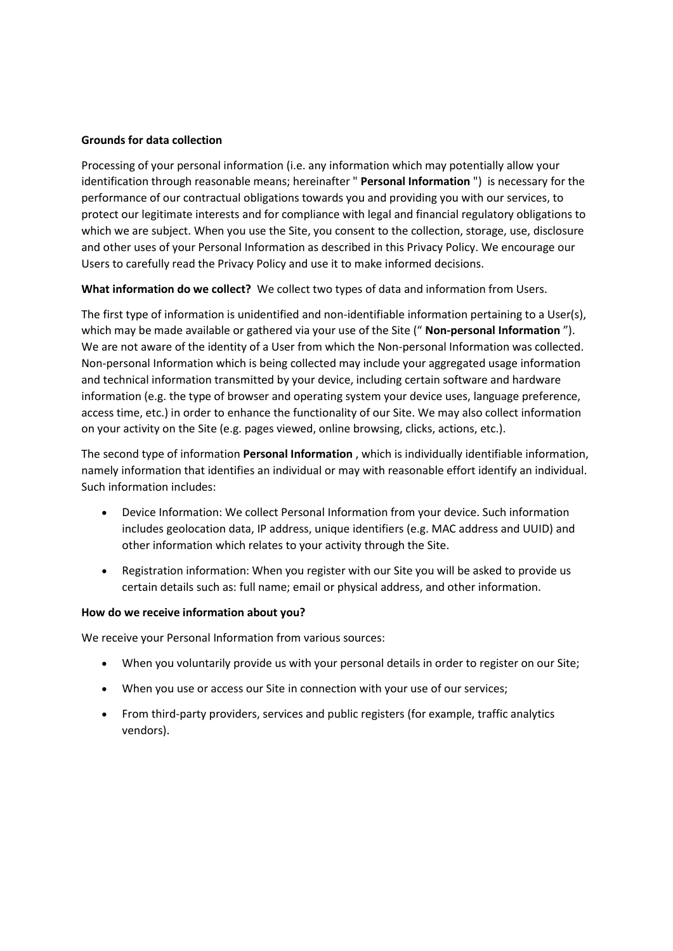# **Grounds for data collection**

Processing of your personal information (i.e. any information which may potentially allow your identification through reasonable means; hereinafter " **Personal Information** ") is necessary for the performance of our contractual obligations towards you and providing you with our services, to protect our legitimate interests and for compliance with legal and financial regulatory obligations to which we are subject. When you use the Site, you consent to the collection, storage, use, disclosure and other uses of your Personal Information as described in this Privacy Policy. We encourage our Users to carefully read the Privacy Policy and use it to make informed decisions.

**What information do we collect?** We collect two types of data and information from Users.

The first type of information is unidentified and non-identifiable information pertaining to a User(s), which may be made available or gathered via your use of the Site (" **Non-personal Information** "). We are not aware of the identity of a User from which the Non-personal Information was collected. Non-personal Information which is being collected may include your aggregated usage information and technical information transmitted by your device, including certain software and hardware information (e.g. the type of browser and operating system your device uses, language preference, access time, etc.) in order to enhance the functionality of our Site. We may also collect information on your activity on the Site (e.g. pages viewed, online browsing, clicks, actions, etc.).

The second type of information **Personal Information** , which is individually identifiable information, namely information that identifies an individual or may with reasonable effort identify an individual. Such information includes:

- Device Information: We collect Personal Information from your device. Such information includes geolocation data, IP address, unique identifiers (e.g. MAC address and UUID) and other information which relates to your activity through the Site.
- Registration information: When you register with our Site you will be asked to provide us certain details such as: full name; email or physical address, and other information.

## **How do we receive information about you?**

We receive your Personal Information from various sources:

- When you voluntarily provide us with your personal details in order to register on our Site;
- When you use or access our Site in connection with your use of our services;
- From third-party providers, services and public registers (for example, traffic analytics vendors).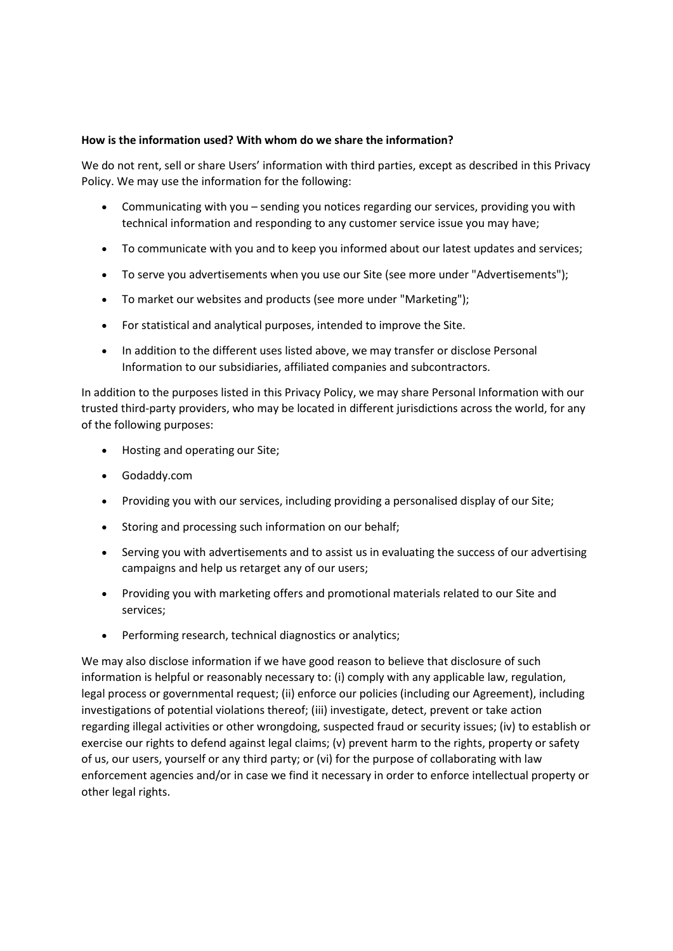## **How is the information used? With whom do we share the information?**

We do not rent, sell or share Users' information with third parties, except as described in this Privacy Policy. We may use the information for the following:

- Communicating with you sending you notices regarding our services, providing you with technical information and responding to any customer service issue you may have;
- To communicate with you and to keep you informed about our latest updates and services;
- To serve you advertisements when you use our Site (see more under "Advertisements");
- To market our websites and products (see more under "Marketing");
- For statistical and analytical purposes, intended to improve the Site.
- In addition to the different uses listed above, we may transfer or disclose Personal Information to our subsidiaries, affiliated companies and subcontractors.

In addition to the purposes listed in this Privacy Policy, we may share Personal Information with our trusted third-party providers, who may be located in different jurisdictions across the world, for any of the following purposes:

- Hosting and operating our Site;
- Godaddy.com
- Providing you with our services, including providing a personalised display of our Site;
- Storing and processing such information on our behalf;
- Serving you with advertisements and to assist us in evaluating the success of our advertising campaigns and help us retarget any of our users;
- Providing you with marketing offers and promotional materials related to our Site and services;
- Performing research, technical diagnostics or analytics;

We may also disclose information if we have good reason to believe that disclosure of such information is helpful or reasonably necessary to: (i) comply with any applicable law, regulation, legal process or governmental request; (ii) enforce our policies (including our Agreement), including investigations of potential violations thereof; (iii) investigate, detect, prevent or take action regarding illegal activities or other wrongdoing, suspected fraud or security issues; (iv) to establish or exercise our rights to defend against legal claims; (v) prevent harm to the rights, property or safety of us, our users, yourself or any third party; or (vi) for the purpose of collaborating with law enforcement agencies and/or in case we find it necessary in order to enforce intellectual property or other legal rights.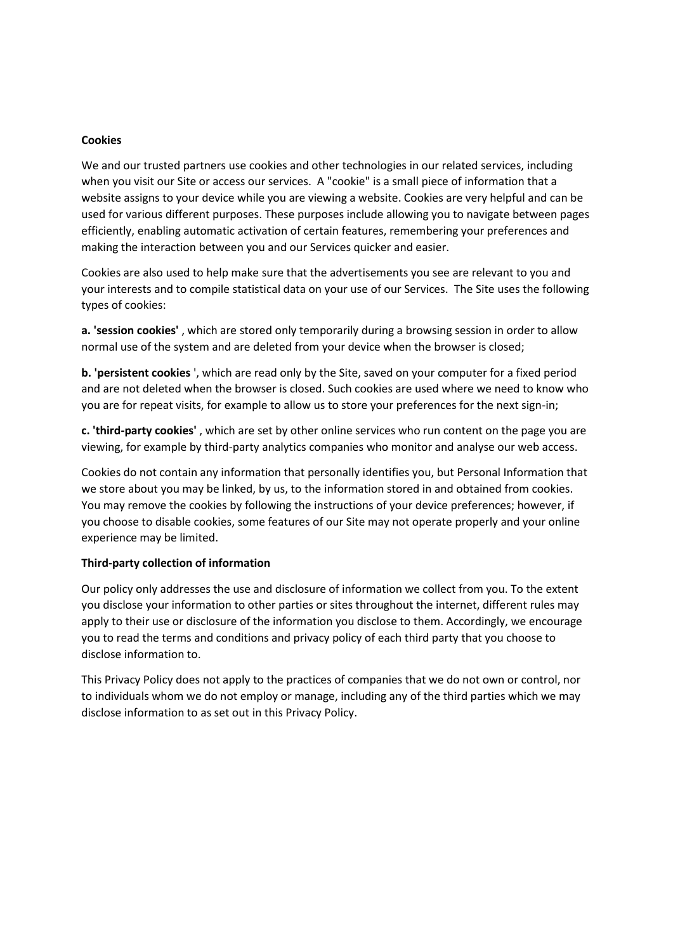#### **Cookies**

We and our trusted partners use cookies and other technologies in our related services, including when you visit our Site or access our services. A "cookie" is a small piece of information that a website assigns to your device while you are viewing a website. Cookies are very helpful and can be used for various different purposes. These purposes include allowing you to navigate between pages efficiently, enabling automatic activation of certain features, remembering your preferences and making the interaction between you and our Services quicker and easier.

Cookies are also used to help make sure that the advertisements you see are relevant to you and your interests and to compile statistical data on your use of our Services. The Site uses the following types of cookies:

**a. 'session cookies'** , which are stored only temporarily during a browsing session in order to allow normal use of the system and are deleted from your device when the browser is closed;

**b. 'persistent cookies** ', which are read only by the Site, saved on your computer for a fixed period and are not deleted when the browser is closed. Such cookies are used where we need to know who you are for repeat visits, for example to allow us to store your preferences for the next sign-in;

**c. 'third-party cookies'** , which are set by other online services who run content on the page you are viewing, for example by third-party analytics companies who monitor and analyse our web access.

Cookies do not contain any information that personally identifies you, but Personal Information that we store about you may be linked, by us, to the information stored in and obtained from cookies. You may remove the cookies by following the instructions of your device preferences; however, if you choose to disable cookies, some features of our Site may not operate properly and your online experience may be limited.

#### **Third-party collection of information**

Our policy only addresses the use and disclosure of information we collect from you. To the extent you disclose your information to other parties or sites throughout the internet, different rules may apply to their use or disclosure of the information you disclose to them. Accordingly, we encourage you to read the terms and conditions and privacy policy of each third party that you choose to disclose information to.

This Privacy Policy does not apply to the practices of companies that we do not own or control, nor to individuals whom we do not employ or manage, including any of the third parties which we may disclose information to as set out in this Privacy Policy.